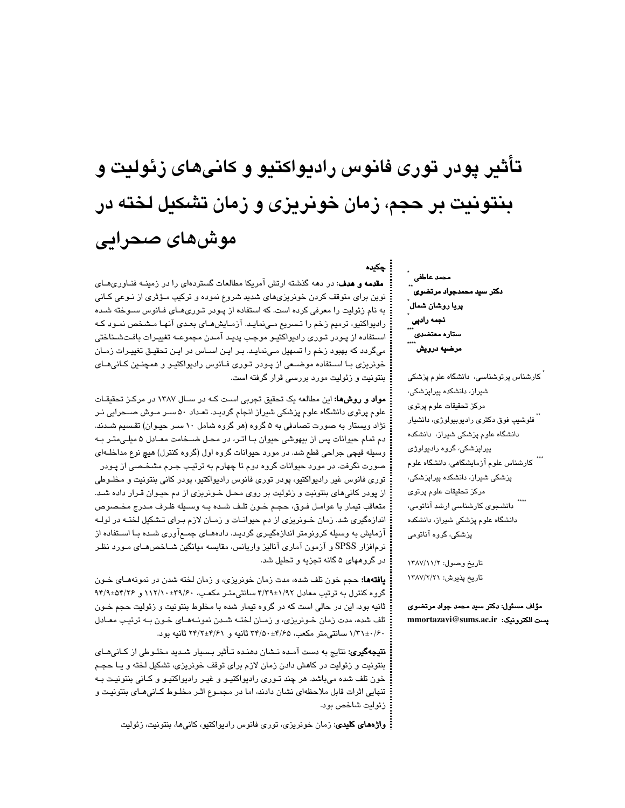# **تأث ري پودر توري فانوس راديواكتيو و كاني يها زئوليت و بنتونيت بر حجم، زمان خونر زي ي و زمان تشكيل لخته در موش يها صحرا يي**

چکیده

**مقدمه و هدف**: در دهه گذشته ارتش آمریکا مطالعات گستردهای را در زمینــه فنــاوریهــای نوین برای متوقف کردن خونریزیهای شدید شروع نموده و ترکیب مـؤثری از نـوعی کـانی به نام زئولیت را معرفی کرده است. که استفاده از پـودر تـوریهـای فـانوس سـوخته شـده رادیواکتیو، ترمیم زخم را تـسریع مـینمایـد. آزمـایش۱مـای بعـدی آنهـا مـشخص نمـود کـه استقاده از پـودر تـوري راديواكتيـو موجب پديـد آمـدن مجموعـه تغييـرات بافـتشـناختي میگردد که بهبود زخم را تسهیل مـینمایـد. بـر ایـن اسـاس در ایـن تحقیـق تغییـرات زمـان خونریزی بـا اسـتفاده موضـعی از پـودر تـوری فـانوس رادیواکتیـو و همچنـین کـانیهـای بنتونیت و زئولیت مورد بررسی قرار گرفته است.

مواد و روشها: این مطالعه یک تحقیق تجربی است کـه در سـال ۱۳۸۷ در مرکـز تحقیقـات علوم پرتوی دانشگاه علوم پزشکی شیراز انجام گردیـد. تعـداد ۵۰ سـر مـوش صــحرایی نـر نژاد ویستار به صورت تصادفی به ۵ گروه (هر گروه شامل ۱۰ سـر حیـوان) تقـسیم شـدند. دم تمام حیوانات پس از بیهوشی حیوان بـا اتـر، در محـل ضـخامت معـادل ۵ میلـی،تـر بـه وسیله قیچی جراحی قطع شد. در مورد حیوانات گروه اول (گروه کنترل) هیچ نوع مداخلــهای صورت نگرفت. در مورد حیوانات گروه دوم تا چهارم به ترتیب جـرم مشخـصی از پـودر توري فانوس غير راديواكتيو، پودر توري فانوس راديواكتيو، پودر كاني بنتونيت و مخلــوطي از پودر کانیهای بنتونیت و زئولیت بر روی محل خـونریزی از دم حیـوان قـرار داده شـد. متعاقب تيمار با عوامـل فـوق، حجـم خـون تلـف شـده بـه وسـيله ظـرف مـدرج مخـصوص اندازهگیری شد. زمان خـونریزی از دم حیوانــات و زمــان لازم بـرای تـشکیل لختــه در لولــه آزمایش به وسیله کرونومتر اندازهگیـری گردیـد. دادههـای جمـعآوری شـده بـا اسـتفاده از نرمافزار SPSS و آزمون آماری آنالیز واریانس، مقایسه میانگین شـاخصهـای مـورد نظـر در گروههای ۵ گانه تجزیه و تحلیل شد.

**يافتهها:** حجم خون تلف شده، مدت زمان خونريزي، و زمان لخته شدن در نمونههـاي خـون گروه کنترل به ترتیب معادل ۱/۹۲±۴/۳۹ سانتیمتـر مکعـب، ۱۳۹/۶۰+۱۱۲/۱۰ و ۹۴/۹±۵۴/۲۶ ثانيه بود. اين در حالي است كه در گروه تيمار شده با مخلوط بنتونيت و زئوليت حجم خـون تلف شده، مدت زمان خـونریزی، و زمـان لختـه شـدن نمونـههـای خـون بـه ترتیـب معـادل ۰/۳۱±۰/۶۰ سانتی۵متر مکعب، ۳۴/۵۰±۴/۵۰ ثانیه و ۲۴/۲±۲۴/۲ ثانیه بود.

**نتیجهگیری:** نتایج به دست آمـده نـشان دهنـده تـأثیر بـسیار شـدید مخلـوطی از کـانیهـای بنتونيت و زئوليت در كاهش دادن زمان لازم براي توقف خونريزي، تشكيل لخته و يـا حجـم خون تلف شده میباشد. هر چند تـوری رادیواکتیـو و غیـر رادیواکتیـو و کـانی بنتونیـت بـه تنهايي اثرات قابل ملاحظهاي نشان دادند، اما در مجمـوع اثـر مخلـوط كـاني،مـاي بنتونيـت و زئوليت شاخص بود.

<mark>:</mark> وا**ژەهای کلیدی**: زمان خونریزی، توری فانوس رادیواکتیو، کانیها، بنتونیت، زئولیت

محمد عاطفي <mark>دکتر</mark> سید محمدجواد مرتضوی يريا روشان شمال<sup>\*</sup> نجمه رادپ*ی*<br>\*\*\* ستاره معتض*دی* ``` مرضيه درويش **\*\*\*\***

.<br>گارشناس پرتوشناس*ی،* دانشگاه علوم پزشکی شیراز، دانشکده پیراپزشکی، مركز تحقيقات علوم پرتوى <sup>"</sup> فلوشيپ فوق دکتر*ی* راديوبيولوژ*ی،* دانشيار دانشگاه علوم پزشکی شیران، دانشکده پیراپزشکی، گروه رادیولوژی \*\*\* کارشناس علوم آزمایشگاهی، دانشگاه علوم پزشکی شیراز، دانشکده پیراپزشکی، مركز تحقيقات علوم پرتوى \*\*\*\*<br>دانشجوی کارشناسی ارشد آناتومی، دانشگاه علوم پزشکی شیراز، دانشکده پزشکی، گروه آناتومی

تاريخ وصول: ١٣٨٧/١١١/ تاريخ پذيرش: ١٣٨٧/٢/٢

مؤلف مسئول: دكتر سيد محمد جواد مرتضوى mmortazavi@sums.ac.ir **يست الكترونيك:**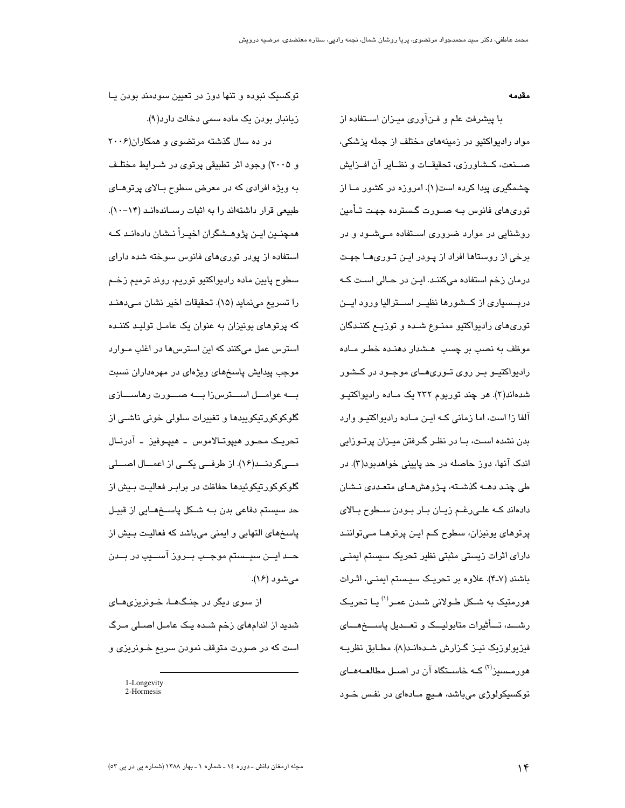مقدمه

با پیشرفت علم و فـنآوری میـزان اسـتفاده از مواد رادیواکتیو در زمینههای مختلف از حمله پزشکی، صــنعت، كــشاورزي، تحقيقــات و نظــاير آن افــزايش چشمگیری پیدا کرده است(۱). امروزه در کشور مــا از توری۵ای فانوس بــه صــورت گــسترده جهـت تــأمین روشنایی در موارد ضروری استفاده مـیشـود و در برخی از روستاها افراد از پـودر ایـن تـوریهــا جهـت درمان زخم استفاده میکنند. این در حـالی است کـه دربسسیاری از کشورها نظیـر اسـترالیا ورود ایـن توری های رادیواکتیو ممنـوع شـده و توزیــع کننـدگان موظف به نصب بر چسب هشدار دهنده خطر ماده رادیواکتیــو بــر روی تــوریهـــای موجــود در کــشور شدهاند(۲). هر چند توریوم ۲۳۲ یک مـاده رادیواکتیـو آلفا زا است، اما زمانی کـه ایـن مـاده رادیواکتیـو وارد بدن نشده اسـت، بــا در نظـر گــرفتن میــزان پرتــوزایی اندک آنها، دوز حاصله در حد پایینی خواهدبود(۳). در طی چند دهــه گذشــته، پــژوهش۵ــای متعــددی نــشان دادهاند کـه علـیرغـم زیـان بـار بـودن سـطوح بـالای پرتوهای یونیزان، سطوح کـم ایـن پرتوهـا مـیتواننـد دارای اثرات زیستی مثبتی نظیر تحریک سیستم ایمنـی باشند (۷ـ۴). علاوه بر تحریـک سیـستم ایمنـی، اثـرات هورمتیک به شــکل طـولانی شــدن عمـر<sup>(۱)</sup> یــا تـحریـک رشـــد، تــــأثيرات متابوليـــک و تعـــديل پاســــخهــــاي فيزيولوزيک نيـز گـزارش شـدهانـد(٨). مطـابق نظريــه هورمــسرز<sup>(۲)</sup> کــه خاســتگاه آن در اصــل مطالعــههــای توکسیکولوژی میباشد، هـیچ مـادهای در نفس خـود

توکسیک نبوده و تنها دوز در تعیین سودمند بودن یـا زیانبار بودن یک ماده سمی دخالت دارد(۹).

 $\mathcal{X} \cdot \cdot \mathcal{S}$ در ده سال گذشته مرتضوی و همکاران و ۲۰۰۵) وجود اثر تطبیقی پرتوی در شـرایط مختلـف به ویژه افرادی که در معرض سطوح بـالای پرتوهـای طبیعی قرار داشتهاند را به اثبات رسـاندهانـد (۱۴–۱۰). همچنــین ایــن پژوهــشگران اخیــراً نــشان دادهانـد کــه استفاده از پودر توریهای فانوس سوخته شده دارای سطوح پايين ماده راديواکٽيو توريم، روند ترميم زخـم را تسريع مي نمايد (١٥). تحقيقات اخير نشان مـي دهنـد که پرتوهای پونیزان به عنوان یک عامـل تولیـد کننـده استرس عمل میکنند که این استرس ها در اغلب مـوارد موجب پیدایش پاسخهای ویژهای در مهرهداران نسبت بــه عوامـــل اســـترسiا بـــه صـــورت رهاســـازی گلوکوکورتیکوییدها و تغییرات سلولی خونی ناشـی از تحريـک محــور هيپوتــالاموس ـ هيپــوفيز ـ آدرنــال مــیگردنــد(۱۶). از طرفــی یکــی از اعمــال اصـــلی گلوکوکورتیکوئیدها حفاظت در برابـر فعالیـت بـیش از حد سیستم دفاعی بدن بـه شـکل پاسـخهـایی از قبیـل پاسخهای التهابی و ایمنی میباشد که فعالیت بیش از حــد ايــن سيــستم موجــب بــروز آســـيب در بــدن مے شورد (۱۶).

از سوی دیگر در جنگهـا، خـوزریزیهـای شدید از اندامهای زخم شـده یـک عامـل اصـلی مـرگ است که در صورت متوقف نمودن سریع خـونریزی و

<sup>1-</sup>Longevity 2-Hormesis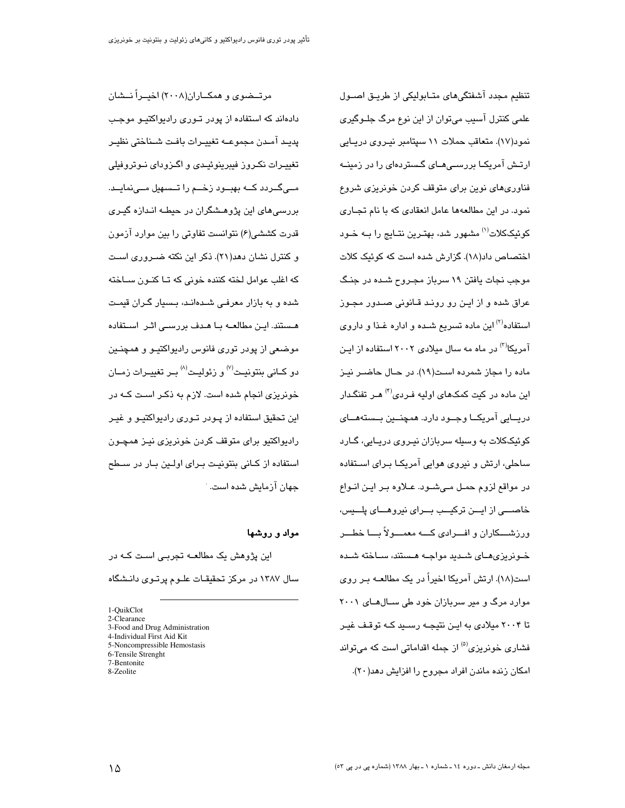تنظیم مجدد آشفتگیهای متـابولیکی از طریـق اصـول علمی کنترل آسیب می توان از این نوع مرگ جلـوگیری نمود(۱۷). متعاقب حملات ۱۱ سپتامبر نیـروی دریـایی ارتــش آمریکــا بررســی۱مــای گــستردهای را در زمینــه فناوریهای نوین برای متوقف کردن خونریزی شروع نمود. در این مطالعهها عامل انعقادی که با نام تجاری ک<u>وئی</u>ککلات<sup>(۱)</sup> مشهور شد، بهترین نتـایج را بــه خـود اختصاص داد(١٨). گزارش شده است كه كوئيك كلات موجب نجات یافتن ۱۹ سرباز مجـروح شــده در جنـگ عراق شده و از ایـن رو رونـد قـانونی صـدور مجـوز استفاده<sup>(۲)</sup> این ماده تسریع شـده و اداره غـذا و داروی آمریکا<sup>(۳)</sup> در ماه مه سال میلادی ۲۰۰۲ استفاده از ایـن ماده را محان شمرده است(۱۹). در حـال حاضـر نيـز این ماده در کیت کمکهای اولیه فـردی<sup>(۴)</sup> هـر تفنگـدار دريــايي آمريکــا وجــود دارد. همچنــين بــستههــاي کوئیککلات به وسیله سربازان نیـروی دریـایی، گــارد ساحلی، ارتش و نیروی هوایی آمریکـا بـرای اســتفاده در مواقع لزوم حمـل مـیشـود. عـلاوه بـر ایـن انـواع خاصـــی از ایـــن ترکیـــب بـــرای نیروهـــای پلـــیس، ورزشـــکاران و افـــرادي کــــه معمــــولاً بــــا خطـــر خـونریزیهـای شـدید مواجـه هـستند، سـاخته شـده است(١٨). ارتش آمريكا اخيراً در يک مطالعــه بـر روى موارد مرگ و میر سربازان خود طی سـالهـای ۲۰۰۱ تا ۲۰۰۴ میلادی به ایـن نتیجـه رسـید کـه توقـف غیـر فشاری خونریزی<sup>(۵)</sup> از جمله اقداماتی است که میتواند

امكان زنده ماندن افراد مجروح را افزايش دهد(٢٠).

مرتــضوی و همکــاران(۲۰۰۸) اخیــراً نــشان دادهاند که استفاده از پودر تـوری رادیواکتیـو موجـب يديد آمـدن مجموعــه تغييـرات بافـت شــناختى نظيـر تغییــرات نکــروز فیبرینوئیــدی و اگــزودای نــوتروفیلی مــیگــردد کــه بهبــود زخــم را تــسهیل مــینمایــد. بررسی های این پژوهــشگران در حیطــه انــدازه گیــری قدرت کششی(۶) نتوانست تفاوتی را بین موارد آزمون و کنترل نشان دهد(٢١). ذکر این نکته ضـروری اسـت که اغلب عوامل لخته کننده خونی که تــا کنــون ســاخته شده و به بازار معرفی شدهاند، بسیار گران قیمت هستند. ایـن مطالعــه بــا هــدف بررســی اثـر اســتفاده موضعی از پودر توری فانوس رادیواکتیـو و همچنـین دو کـاني پنڌونيـت $^{(V)}$ و زئوليـت $^{(A)}$ يـر تغييـرات زمـان خونریزی انجام شده است. لازم به ذکـر اسـت کــه در این تحقیق استفاده از پـودر تـوری رادیواکتیـو و غیـر رادیواکتیو برای متوقف کردن خونریزی نیـز همچــون استفاده از کـانی بنتونیـت بـرای اولـین بـار در سـطح جهان آزمایش شده است. <sup>.</sup>

#### مواد و روشها

این پژوهش یک مطالعــه تجربــی اسـت کــه در سال ۱۳۸۷ در مرکز تحقیقـات علـوم پرتـوی دانـشگاه

<sup>1-</sup>QuikClot 2-Clearance

<sup>3-</sup>Food and Drug Administration

<sup>4-</sup>Individual First Aid Kit

<sup>5-</sup>Noncompressible Hemostasis

<sup>6-</sup>Tensile Strenght

<sup>7-</sup>Bentonite

<sup>8-</sup>Zeolite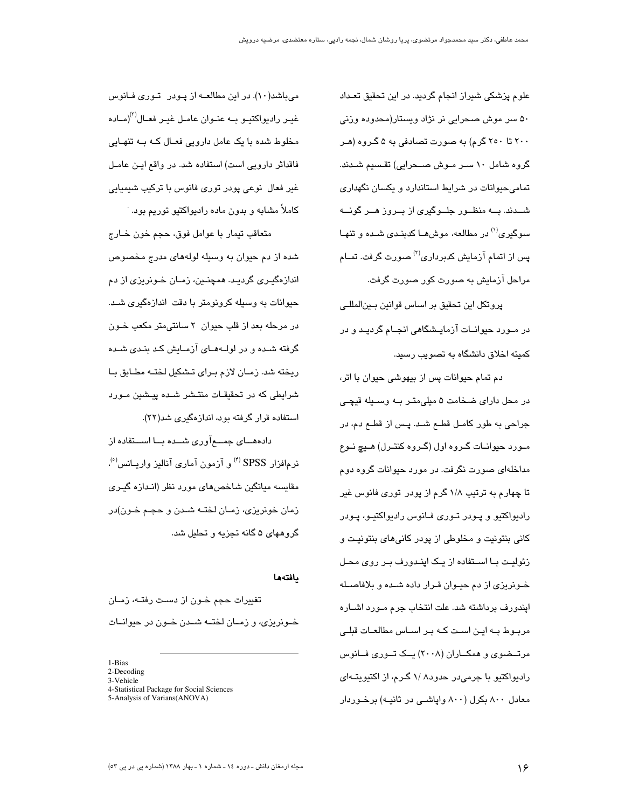علوم پزشکی شیراز انجام گردید. در این تحقیق تعـداد ۵۰ سر موش صحرایی نر نژاد ویستار(محدوده وزنی ۲۰۰ تا ۲۰۰ گرم) به صورت تصادفی به ۵ گـروه (هـر گروه شامل ۱۰ سـر مـوش صــحرایی) تقـسیم شـدند. تمامی حیوانات در شرایط استاندارد و یکسان نگهداری شــدند. بـــه منظــور جلــوگیری از بــروز هــر گونـــه سو<sub>ی</sub>گیری<sup>(۱)</sup> در مطالعه، موش۱ها کدینیدی شیده و تنهیا پس از اتمام آزمایش کدبرداری<sup>(۲)</sup> صورت گرفت. تمـام مراحل آزمایش به صورت کور صورت گرفت.

پروتکل این تحقیق پر اساس قوانین پیر المللے، در مــورد حیوانــات آزمایــشگاهی انجــام گردیــد و در کمیته اخلاق دانشگاه به تصویب رسید.

دم تمام حیوانات پس از بیهوشی حیوان با اتر، در محل دارای ضخامت ۵ میلی متـر بـه وسـبله قیچـی جراحی به طور کامل قطـم شـد. پـس از قطـم دم، در مـورد حيوانـات گـروه اول (گـروه كنتـرل) هـيچ نـوع مداخلهای صورت نگرفت. در مورد حیوانات گروه دوم تا چهارم به ترتیب ۱/۸ گرم از پودر توری فانوس غیر راديواکتيو و پـودر تـوري فـانوس راديواکتيـو، پـودر کانی بنتونیت و مخلوطی از پودر کانیهای بنتونیت و زئولیت بـا اسـتفاده از یـک اینـدورف بـر روی محـل خــونریزی از دم حیــوان قــرار داده شــده و بلافاصــله ایندورف برداشته شد. علت انتخاب جرم مـورد اشـاره مربـوط بــه ايــن اســت كــه بــر اســاس مطالعــات قبلــى مرتــضوی و همکــاران (۲۰۰۸) یــک تــوری فــانوس رادیواکتیو با جرمیدر حدود۱/ ۱/ گـرم، از اکتیویتـهای معادل ۸۰۰ بکرل (۸۰۰ واپاشـی در ثانیـه) برخـوردار

میباشد(١٠). در این مطالعـه از پـودر توری فـانوس غیـر رادیواکتیـو بــه عنـوان عامـل غیـر فعـال<sup>(۳)</sup>(مـاده مخلوط شدہ با یک عامل دارویے فعـال کـه بـه تنهـایی فاقداش دارویی است) استفاده شد. در واقع ایـن عامـل غیر فعال نوعی پودر توری فانوس با ترکیب شیمیایی کاملاً مشابه و بدون ماده رادیواکتیو توریم بود. ٔ

متعاقب تيمار با عوامل فوق، حجم خون خــارج شده از دم حیوان به وسیله لولههای مدرج مخصوص اندازهگیـری گردیـد. همچنـین، زمـان خـونریزی از دم حیوانات به وسیله کرونومتر با دقت اندازهگیری شـد. در مرحله بعد از قلب حیوان ۲ سانتی متر مکعب خــون گرفته شده و در لولههای آزمایش کد بندی شده ريخته شد. زمـان لازم بـرای تـشکيل لختـه مطـابق بـا شرایطی که در تحقیقـات منتـشر شـده پیـشین مـورد استفاده قرار گرفته بود، اندازهگیری شد(۲۲).

دادههـــای جمــــعآوری شـــده بـــا اســـتفاده از نرمافزار SPSS <sup>(۴)</sup> و آزمون آماری آنالیز واریــانس'<sup>٥</sup>). مقایسه میانگین شاخص های مورد نظر (اندازه گیری زمان خونریزی، زمـان لختـه شـدن و حجـم خـون)در گروههای ۵ گانه تجزیه و تحلیل شد.

### يافتهها

تغییرات حجم خـون از دسـت رفتـه، زمـان خبوزریزی، و زمیان لختیه شیدن خبون در حبوانیات

<sup>1-</sup>Bias

<sup>2-</sup>Decoding 3-Vehicle

<sup>4-</sup>Statistical Package for Social Sciences

<sup>5-</sup>Analysis of Varians(ANOVA)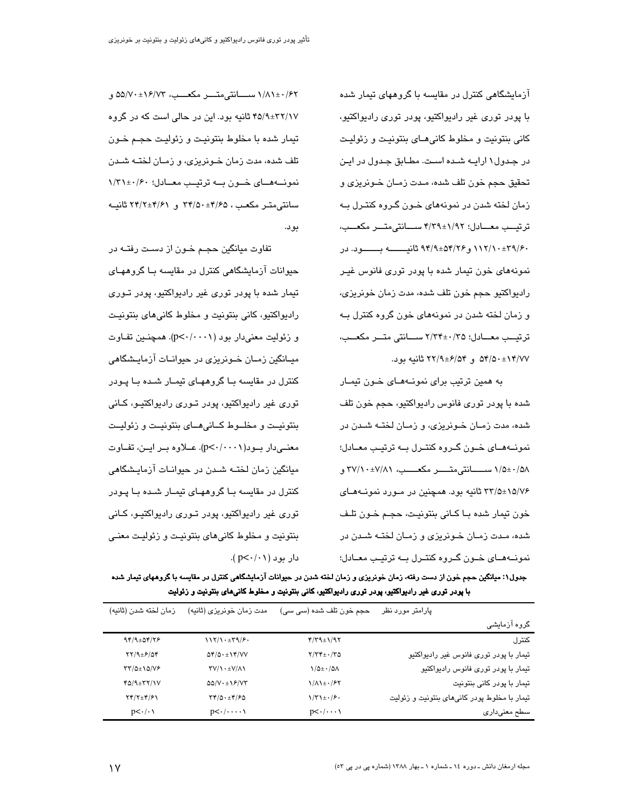آزمایشگاهی کنترل در مقایسه با گروههای تیمار شده با پودر توري غير راديواکتيو، پودر توري راديواکتيو، کانی بنتونیت و مخلوط کانی هـای بنتونیـت و زئولیـت در جدول ۱ ارایــه شـده اسـت. مطـابق جـدول در ایـن تحقيق حجم خون تلف شده، مـدت زمـان خـونريزي و زمان لخته شدن در نمونههای خـون گـروه کنتـرل بـه ترتيب معسادل؛ ١/٩٢±٣/٣٩ سسانتي متسر مكعسب، ۰۹/۶۰±۱۱۲/۱۰ و۹۴/۹±۵۴/۲۶ ثانیسسه بسیود. در نمونههای خون تیمار شده با پودر توری فانوس غیـر ر ادبو اکتبو حجم خون تلف شده، مدت زمان خو نریزی، و زمان لخته شدن در نمونههای خون گروه کنترل بـه ترتيب معـادل؛ ٢٥/ ٢٤٠-٢/٣٤ سـانتي متــر مكعــب، ۵۴/۵۰±۱۴/۷۷ و ۲۲/۹±۶/۵۴ ثانیه بود.

به همین ترتیب برای نمونههای خون تیمار شده با پودر توری فانوس رادیواکتیو، حجم خون تلف شده، مدت زمـان خـونریزی، و زمـان لختـه شـدن در نمونــهمــای خــون گــروه کنتــرل بــه ترتیــب معــادل؛ ۱/۵±۰/۵۸ ســـانتىمتـــــر مكعــــب، ۳۷/۱۰±۷/۸۱ و ۳۳/۵±۱۵/۷۶ ثانیه بود. همچنین در مـورد نمونـههـای خون تيمار شده بـا كـاني بنتونيـت، حجـم خـون تلـف شده، مـدت زمـان خـو نریزی و زمـان لختـه شـدن در نمونههای خون گروه کنترل به ترتیب معادل؛

۱/۸۱±۰/۶۲ ســـانتى متــــر مكعـــب، ۵۵/۷۰±۱۶/۷۳ و ۴۵/۹±۳۲/۱۷ ثانیه بود. این در حالی است که در گروه تيمار شده با مخلوط بنتونيت و زئوليت حجـم خـون تلف شده، مدت زمان خـونریزی، و زمـان لختـه شـدن نمونسه هسای خسون بسه ترتیس معسادل؛ ۱/۳۱±۰/۶۰ سانتے متیر مکعب ، ۳۴/۵۰±۴/۵۰ و ۲۴/۲±۲۴/۲ ثانیـه دو د.

تفاوت میانگین حجـم خـون از دسـت رفتــه در حیوانات آزمایشگاهی کنترل در مقایسه یبا گروههبای تیمار شده با پودر توری غیر رادیواکتیو، پودر تـوری راديواکتيو، کاني بنتونيت و مخلوط کاني هاي بنتونيـت و زئولیت معنی دار بود (p<٠/٠٠١). همچنین تفاوت میـانگین زمـان خـونریزی در حیوانـات آزمایـشگاهی کنترل در مقایسه بـا گروههـای تیمـار شـده بـا پـودر توری غیر رادیواکتیو، پودر تـوری رادیواکتیـو، کـانی بنتونيـت و مخلــوط كــانى هــاى بنتونيـت و زئوليـت معنــیدار بــود( p<٠/٠٠١). عــلاوه بــر ایــن، تفــاوت میانگین زمان لختــه شــدن در حیوانــات آزمایـشگاهی کنترل در مقایسه بـا گروههـای تیمـار شـده بـا پـودر توری غیر رادیواکتیو، پودر تـوری رادیواکتیـو، کـانی بنتونيت و مخلوط کاني هاي بنتونيت و زئوليت معنى  $L_1$  دار بود ( p<  $\cdot$  /  $\cdot$  ).

جدول۱: میانگین حجم خون از دست رفته، زمان خونریزی و زمان لخته شدن در حیوانات آزمایشگاهی کنترل در مقایسه با گروههای تیمار شده با پودر توري غير راديواکتيو، پودر توري راديواکتيو، کاني بنتونيت و مخلوط کانيهاي بنتونيت و زئوليت

| زمان لخته شدن (ثانيه)              | مدت زمان خونریزی (ثانیه)                                 | حجم خون تلف شده (سی سی)         | پارامتر مورد نظر                             |
|------------------------------------|----------------------------------------------------------|---------------------------------|----------------------------------------------|
|                                    |                                                          |                                 | گروه آزمایشی                                 |
| $94/9$ ± 04/78                     | 117/1.179/9.                                             | $f/T9\pm 1/97$                  | كنترل                                        |
| YY/9E/9f                           | $\Delta \mathfrak{r}/\Delta \cdot \pm 1 \mathfrak{r}/VV$ | $Y/YY_{\pm} \cdot /Y\Delta$     | تیمار با پودر توری فانوس غیر رادیواکتیو      |
| $\tau\tau/\Delta\pm 1\Delta/\nu$ ۶ | $\Upsilon V/\Upsilon + \pm V/\Lambda V$                  | $\frac{1}{2}$                   | تیمار با پودر توری فانوس رادیواکتیو          |
| $f_0/9\pm\tau\tau/1V$              | $\Delta \Delta / V \cdot \pm 19 / V \Upsilon$            | $1/\Lambda$ 1± $\cdot$ /۶۲      | تیمار با پودر کانی بنتونیت                   |
| $YY/Y \pm Y/Y$                     | $\Upsilon(\Delta \cdot \pm \Upsilon)/\Upsilon$           | $\frac{1}{r^2 + r^2}$           | تیمار با مخلوط پودر کانیهای بنتونیت و زئولیت |
| $p<\cdot/\cdot\$                   | $p<\cdot/\cdot\cdot\cdot\cdot\wedge$                     | $p<\cdot/\cdot\cdot\cdot\wedge$ | سطح معنىدارى                                 |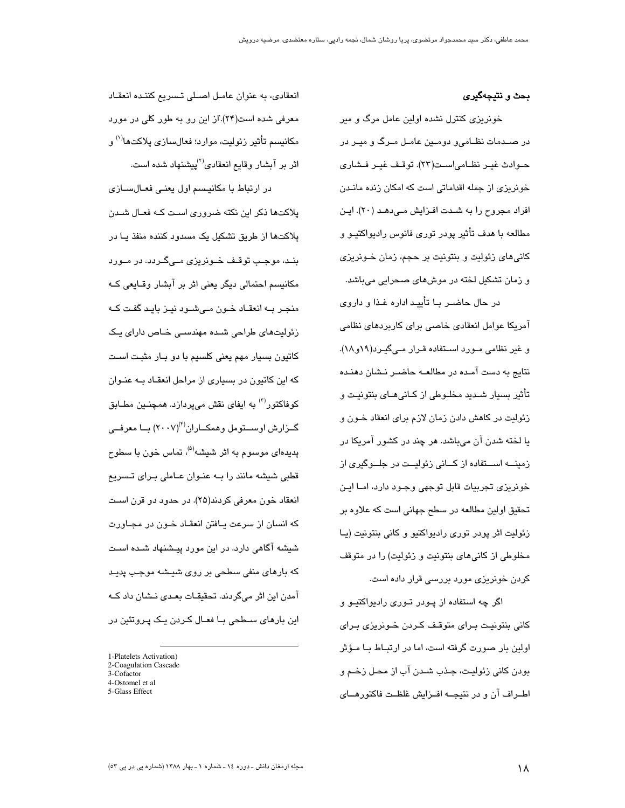#### بحث و نتيجهگيري

خونریزی کنترل نشده اولین عامل مرگ و میر در صـدمات نظـامیو دومـین عامـل مـرگ و میـر در حـوادث غيـر نظـامى|سـت(٢٣). توقـف غيـر فـشارى خونریزی از جمله اقداماتی است که امکان زنده مانـدن افراد مجروح را به شـدت افـزایش مـیدهـد (۲۰). ایـن مطالعه با هدف تأثیر پودر توری فانوس رادیواکتیـو و کانی های زئولیت و بنتونیت بر حجم، زمان خـونریزی و زمان تشکیل لخته در موشهای صحرایی میباشد.

در حال حاضـر بــا تأييــد اداره غــذا و داروى آمریکا عوامل انعقادی خاصی برای کاربردهای نظامی و غیر نظامی مـورد اسـتفاده قـرار مـیگیـرد(۱۹و۱۸). نتایج به دست آمـده در مطالعـه حاضـر نـشان دهنـده تأثیر بسیار شـدید مخلـوطی از کـانی۱مـای بنتونیـت و زئولیت در کاهش دادن زمان لازم برای انعقاد خـون و یا لخته شدن آن میباشد. هر چند در کشور آمریکا در زمینـــه اســـتفاده از کـــانی زئولیــت در جلـــوگیری از خونریزی تجربیات قابل توجهی وجـود دارد، امــا ایــن تحقیق اولین مطالعه در سطح جهانی است که علاوه بر زئوليت اثر پودر توري راديواكتيو و كاني بنتونيت (يـا مخلوطی از کانی های بنتونیت و زئولیت) را در متوقف کردن خونریزی مورد بررسی قرار داده است.

اگر چه استفاده از پـودر تـوری رادیواکتیـو و كاني بنتونيت براى متوقف كردن خونريزى براى اولین بار صورت گرفته است، اما در ارتبـاط بـا مـؤثر بودن کانی زئولیت، جـذب شـدن آب از محـل زخـم و اطــراف آن و در نتیجــه افــزایش غلظـت فاکتورهــای

انعقادی، به عنوان عامل اصلی تسریع کننده انعقاد معرفی شده است(۲۴).از این رو به طور کلی در مورد مكانيسم تأثير زئوليت، موارد؛ فعالسازي پلاكتها<sup>(۱)</sup> و اثر بر آبشار وقایع انعقادی<sup>(۲)</sup>پیشنهاد شده است.

در ارتباط با مکانیسم اول یعنی فعـالسـازی پلاکتها ذکر این نکته ضروری است کـه فعـال شـدن پلاکتها از طریق تشکیل یک مسدود کننده منفذ یـا در بنـد، موجـب توقـف خـوزربزی مـے گـردد. در مـورد مکانیسم احتمالی دیگر یعنی اثر بر آبشار وقـایعی کـه منجـر بــه انعقــاد خــون مــی شــود نیــز بایـد گفـت کــه زئولیتھای طراحی شدہ مھندسے خـاص دارای پـک کاتیون بسیار مهم یعنی کلسیم با دو بـار مثبـت اسـت که این کاتیون در بسیاری از مراحل انعقـاد بـه عنـوان کوفاکتور<sup>(۳)</sup> به ایفای نقش میپردازد. همچنـین مطـابق گــزارش اوســتومل وهمكــاران(٢٠٠٧) بــا معرفــي پدیدهای موسوم به اثر شیشه<sup>(۵)</sup>، تماس خون با سطوح قطبی شیشه مانند را بـه عنـوان عـاملی بـرای تـسریع انعقاد خون معرفی کردند(۲۵). در حدود دو قرن است که انسان از سرعت پـافتن انعقـاد خـون در مجـاورت شیشه آگاهی دارد. در این مورد پیشنهاد شـده اسـت که بارهای منفی سطحی بر روی شیشه موجب پدید آمدن این اثر میگردند. تحقیقـات بعـدی نـشان داد کـه این بارهای سـطحی بـا فعـال کـردن یـک پـروتئین در

<sup>1-</sup>Platelets Activation)

<sup>2-</sup>Coagulation Cascade 3-Cofactor

<sup>4-</sup>Ostomel et al.

<sup>5-</sup>Glass Effect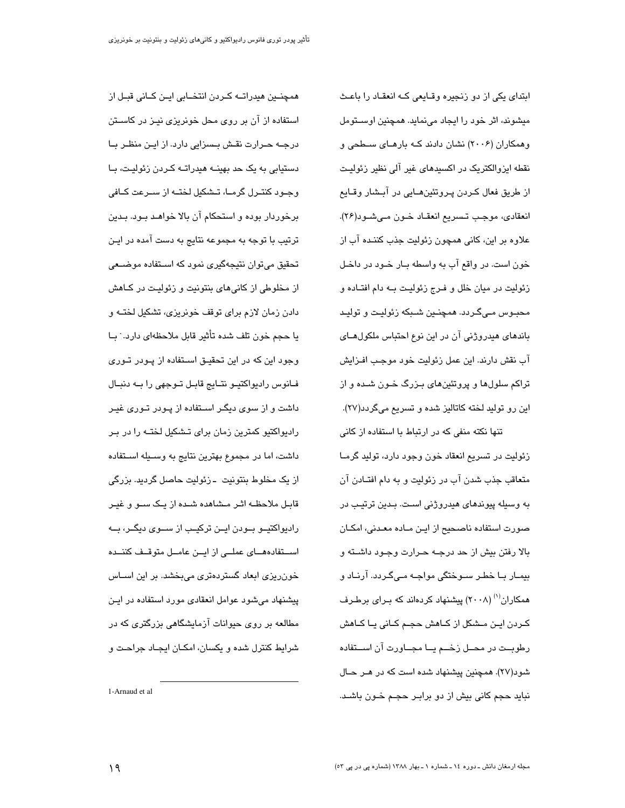ابتدای یکی از دو زنجیره وقبایعی کـه انعقـاد را باعـث میشوند، اثر خود را ایجاد می نماید. همچنین اوستومل وهمکاران (۲۰۰۶) نشان دادند کـه بارهـای سـطحی و نقطه ایزوالکتریک در اکسیدهای غیر آلی نظیر زئولیت از طريق فعال كـردن پـروتئينھــايي در آبــشار وقــايع انعقادي، موجب تـسريع انعقـاد خـون مـيشـود(٢۶). علاوه بر این، کانی همچون زئولیت جذب کننـده آب از خون است. در واقع آب به واسطه بـار خـود در داخـل زئوليت در ميان خلل و فـرج زئوليـت بـه دام افتـاده و محبـوس مـیگـردد. همچنـین شـبکه زئولیـت و تولیـد باندهای هیدروژنی آن در این نوع احتباس ملکول های آب نقش دارند. اين عمل زئوليت خود موجب افـزايش تراکم سلولها و پروتئینهای بـزرگ خـون شـده و از این رو تولید لخته کاتالیز شده و تسریع میگردد(۲۷).

تنها نکته منفی که در ارتباط با استفاده از کانی زئولیت در تسریع انعقاد خون وجود دارد، تولید گرمـا متعاقب جذب شدن آب در زئولیت و به دام افتــادن آن به وسیله پیوندهای هیدروژنی است. بـدین ترتیب در صورت استفاده ناصحیح از ایـن مـاده معـدنی، امکـان بالا رفتن بيش از حد درجـه حـرارت وجـود داشـته و بیمـار بـا خطـر سـوختگی مواجـه مـیگـردد. آرنـاد و همکاران<sup>(۱)</sup> (۲۰۰۸) پیشنهاد کردهاند که بـرای برطـرف کـردن ایـن مــشکل از کــاهش حجـم کــانی پــا کــاهش رطوبــت در محــل زخـــم یــا مجــاورت آن اســتفاده شود(٢٧). همچنین پیشنهاد شده است که در هـر حـال نباید حجم کانی بیش از دو برابـر حجـم خـون باشـد.

همچنــین هیدراتــه کــردن انتخــابی ایــن کــانی قبــل از استفاده از آن بر روی محل خونریزی نیـز در کاسـتن درجـه حـرارت نقـش بـسزایی دارد. از ایـن منظـر بــا دستیابی به یک حد بهینــه هیدراتــه کــردن زئولیـت، بــا وجـود کنتـرل گرمــا، تــشکیل لختــه از ســرعت کــافی برخوردار بوده و استحکام آن بالا خواهـد بــود. بــدین ترتیب با توجه به مجموعه نتایج به دست آمده در ایـن تحقیق میتوان نتیجهگیری نمود که استفاده موضعی از مخلوطی از کانیهای بنتونیت و زئولیـت در کـاهش دادن زمان لازم برای توقف خونریزی، تشکیل لختــه و يا حجم خون تلف شده تأثير قابل ملاحظهاي دارد. ˙ بـا وجود این که در این تحقیـق اسـتفاده از پــودر تــوری فـانوس رادیواکتیـو نتـایج قابـل تـوجهی را بــه دنبـال داشت و از سوی دیگـر اسـتفاده از پـودر تـوری غیـر رادیواکتیو کمترین زمان برای تـشکیل لختـه را در بـر داشت، اما در مجموع بهترین نتایج به وســیله اســتفاده از یک مخلوط بنتونیت ـ زئولیت حاصل گردید. بزرگی قابـل ملاحظــه اثــر مــشاهده شــده از يــک ســو و غيــر رادیواکتیــو بــودن ایــن ترکیــب از ســوی دیگــر، بــه استقادهمای عملے از ایین عامیل متوقیف کننیده خونریزی ابعاد گستردهتری میبخشد. بر این اســاس پیشنهاد میشود عوامل انعقادی مورد استفاده در ایـن مطالعه بر روی حیوانات آزمایشگاهی بزرگتری که در شرایط کنترل شده و یکسان، امکـان ایجـاد جراحـت و

1-Arnaud et al.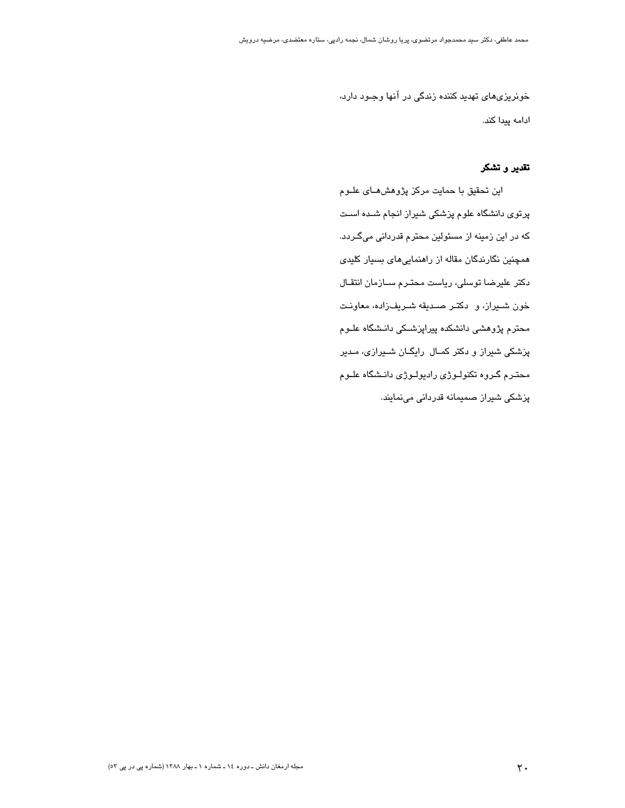خونریزیهای تهدید کننده زندگی در آنها وجـود دارد، ادامه پیدا کند.

## تقدیر و تشکر

این تحقیق با حمایت مرکز پژوهش هـای علـوم پرتوی دانشگاه علوم پزشکی شیراز انجام شـده اسـت که در این زمینه از مسئولین محترم قدردانی میگـردد. همچنین نگارندگان مقاله از راهنماییهای بسیار کلیدی دکتر علیرضا توسلی، ریاست محتـرم ســازمان انتقـال خون شيراز، و دكتر صديقه شىريفزاده، معاونت محترم پژوهشی دانشکده پیراپزشـکی دانـشگاه علــوم پزشکی شیراز و دکتر کمـال رایگـان شـیرازی، مـدیر محتـرم گـروه تکنولـوژی رادیولـوژی دانـشگاه علـوم پزشکی شیراز صمیمانه قدردانی مینمایند.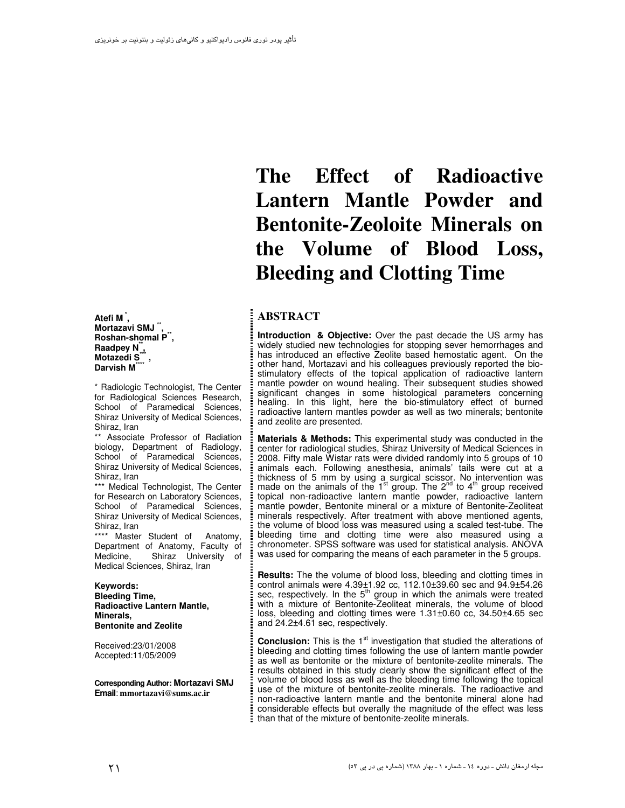Atefi M<sup>\*</sup>, Mortazavi SMJ<sup>"</sup> Roshan-shomal P<sup>\*\*</sup>. Raadpey N<sup>"</sup>, Motazedi S., Darvish M

\* Radiologic Technologist, The Center for Radiological Sciences Research, School of Paramedical Sciences. Shiraz University of Medical Sciences. Shiraz, Iran

\*\* Associate Professor of Radiation biology, Department of Radiology, School of Paramedical Sciences, Shiraz University of Medical Sciences, Shiraz, Iran

\*\*\* Medical Technologist, The Center for Research on Laboratory Sciences, School of Paramedical Sciences, Shiraz University of Medical Sciences, Shiraz, Iran

\*\*\*\* Master Student of Anatomy. Department of Anatomy, Faculty of Shiraz University of Medicine, Medical Sciences, Shiraz, Iran

Keywords: **Bleeding Time, Radioactive Lantern Mantle,** Minerals, **Bentonite and Zeolite** 

Received:23/01/2008 Accepted:11/05/2009

Corresponding Author: Mortazavi SMJ Email: mmortazavi@sums.ac.ir

# The **Effect** of Radioactive Lantern Mantle Powder and **Bentonite-Zeoloite Minerals on** the Volume of Blood Loss, **Bleeding and Clotting Time**

### **ABSTRACT**

Introduction & Objective: Over the past decade the US army has widely studied new technologies for stopping sever hemorrhages and has introduced an effective Zeolite based hemostatic agent. On the other hand, Mortazavi and his colleagues previously reported the biostimulatory effects of the topical application of radioactive lantern mantle powder on wound healing. Their subsequent studies showed<br>significant changes in some histological parameters concerning<br>healing. In this light, here the bio-stimulatory effect of burned radioactive lantern mantles powder as well as two minerals; bentonite and zeolite are presented.

Materials & Methods: This experimental study was conducted in the center for radiological studies, Shiraz University of Medical Sciences in 2008. Fifty male Wistar rats were divided randomly into 5 groups of 10 animals each. Following anesthesia, animals' tails were cut at a thickness of 5 mm by using a surgical scissor. No intervention was made on the animals of the  $1<sup>st</sup>$  group. The  $2<sup>nd</sup>$  to  $4<sup>th</sup>$  group received topical non-radioactive lantern mantle powder, radioactive lantern mantle powder, Bentonite mineral or a mixture of Bentonite-Zeoliteat minerals respectively. After treatment with above mentioned agents, the volume of blood loss was measured using a scaled test-tube. The bleeding time and clotting time were also measured using a chronometer. SPSS software was used for statistical analysis. ANOVA was used for comparing the means of each parameter in the 5 groups.

Results: The the volume of blood loss, bleeding and clotting times in control animals were 4.39±1.92 cc, 112.10±39.60 sec and 94.9±54.26 sec, respectively. In the  $5<sup>th</sup>$  group in which the animals were treated<br>with a mixture of Bentonite-Zeoliteat minerals, the volume of blood loss, bleeding and clotting times were 1.31±0.60 cc, 34.50±4.65 sec and 24.2±4.61 sec, respectively.

**Conclusion:** This is the 1<sup>st</sup> investigation that studied the alterations of bleeding and clotting times following the use of lantern mantle powder as well as bentonite or the mixture of bentonite-zeolite minerals. The results obtained in this study clearly show the significant effect of the volume of blood loss as well as the bleeding time following the topical use of the mixture of bentonite-zeolite minerals. The radioactive and non-radioactive lantern mantle and the bentonite mineral alone had considerable effects but overally the magnitude of the effect was less than that of the mixture of bentonite-zeolite minerals.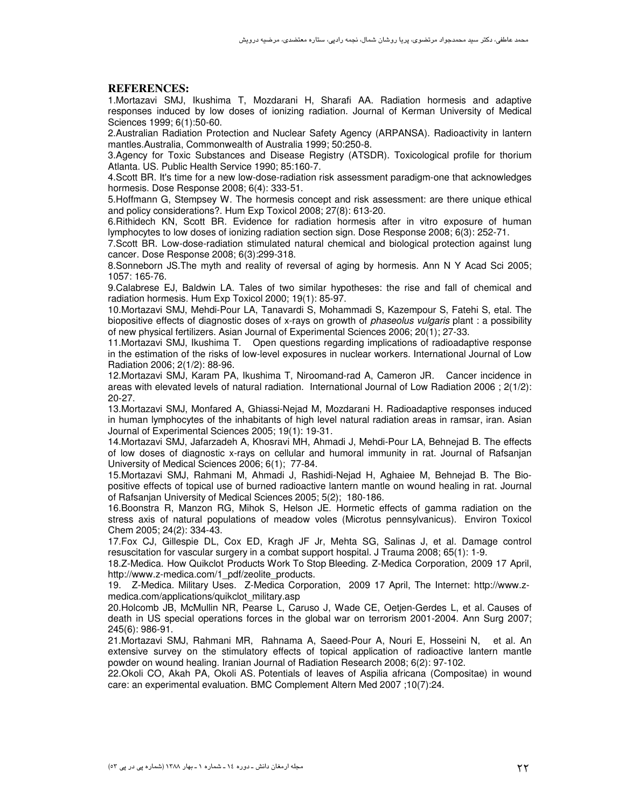#### **REFERENCES:**

1.Mortazavi SMJ, Ikushima T, Mozdarani H, Sharafi AA. Radiation hormesis and adaptive responses induced by low doses of ionizing radiation. Journal of Kerman University of Medical Sciences 1999; 6(1):50-60.

2.Australian Radiation Protection and Nuclear Safety Agency (ARPANSA). Radioactivity in lantern mantles.Australia, Commonwealth of Australia 1999; 50:250-8.

3.Agency for Toxic Substances and Disease Registry (ATSDR). Toxicological profile for thorium Atlanta. US. Public Health Service 1990; 85:160-7.

4.Scott BR. It's time for a new low-dose-radiation risk assessment paradigm-one that acknowledges hormesis. Dose Response 2008; 6(4): 333-51.

5.Hoffmann G, Stempsey W. The hormesis concept and risk assessment: are there unique ethical and policy considerations?. Hum Exp Toxicol 2008; 27(8): 613-20.

6.Rithidech KN, Scott BR. Evidence for radiation hormesis after in vitro exposure of human lymphocytes to low doses of ionizing radiation section sign. Dose Response 2008; 6(3): 252-71.

7.Scott BR. Low-dose-radiation stimulated natural chemical and biological protection against lung cancer. Dose Response 2008; 6(3):299-318.

8.Sonneborn JS.The myth and reality of reversal of aging by hormesis. Ann N Y Acad Sci 2005; 1057: 165-76.

9.Calabrese EJ, Baldwin LA. Tales of two similar hypotheses: the rise and fall of chemical and radiation hormesis. Hum Exp Toxicol 2000; 19(1): 85-97.

10.Mortazavi SMJ, Mehdi-Pour LA, Tanavardi S, Mohammadi S, Kazempour S, Fatehi S, etal. The biopositive effects of diagnostic doses of x-rays on growth of *phaseolus vulgaris* plant : a possibility of new physical fertilizers. Asian Journal of Experimental Sciences 2006; 20(1); 27-33.

11.Mortazavi SMJ, Ikushima T. Open questions regarding implications of radioadaptive response in the estimation of the risks of low-level exposures in nuclear workers. International Journal of Low Radiation 2006; 2(1/2): 88-96.

12.Mortazavi SMJ, Karam PA, Ikushima T, Niroomand-rad A, Cameron JR. Cancer incidence in areas with elevated levels of natural radiation. International Journal of Low Radiation 2006 ; 2(1/2): 20-27.

13.Mortazavi SMJ, Monfared A, Ghiassi-Nejad M, Mozdarani H. Radioadaptive responses induced in human lymphocytes of the inhabitants of high level natural radiation areas in ramsar, iran. Asian Journal of Experimental Sciences 2005; 19(1): 19-31.

14.Mortazavi SMJ, Jafarzadeh A, Khosravi MH, Ahmadi J, Mehdi-Pour LA, Behnejad B. The effects of low doses of diagnostic x-rays on cellular and humoral immunity in rat. Journal of Rafsanjan University of Medical Sciences 2006; 6(1); 77-84.

15.Mortazavi SMJ, Rahmani M, Ahmadi J, Rashidi-Nejad H, Aghaiee M, Behnejad B. The Biopositive effects of topical use of burned radioactive lantern mantle on wound healing in rat. Journal of Rafsanjan University of Medical Sciences 2005; 5(2); 180-186.

16.Boonstra R, Manzon RG, Mihok S, Helson JE. Hormetic effects of gamma radiation on the stress axis of natural populations of meadow voles (Microtus pennsylvanicus). Environ Toxicol Chem 2005; 24(2): 334-43.

17.Fox CJ, Gillespie DL, Cox ED, Kragh JF Jr, Mehta SG, Salinas J, et al. Damage control resuscitation for vascular surgery in a combat support hospital. J Trauma 2008; 65(1): 1-9.

18.Z-Medica. How Quikclot Products Work To Stop Bleeding. Z-Medica Corporation, 2009 17 April, http://www.z-medica.com/1\_pdf/zeolite\_products.

19. Z-Medica. Military Uses. Z-Medica Corporation, 2009 17 April, The Internet: http://www.zmedica.com/applications/quikclot\_military.asp

20.Holcomb JB, McMullin NR, Pearse L, Caruso J, Wade CE, Oetjen-Gerdes L, et al. Causes of death in US special operations forces in the global war on terrorism 2001-2004. Ann Surg 2007; 245(6): 986-91.

21.Mortazavi SMJ, Rahmani MR, Rahnama A, Saeed-Pour A, Nouri E, Hosseini N, et al. An extensive survey on the stimulatory effects of topical application of radioactive lantern mantle powder on wound healing. Iranian Journal of Radiation Research 2008; 6(2): 97-102.

22.Okoli CO, Akah PA, Okoli AS. Potentials of leaves of Aspilia africana (Compositae) in wound care: an experimental evaluation. BMC Complement Altern Med 2007 ;10(7):24.